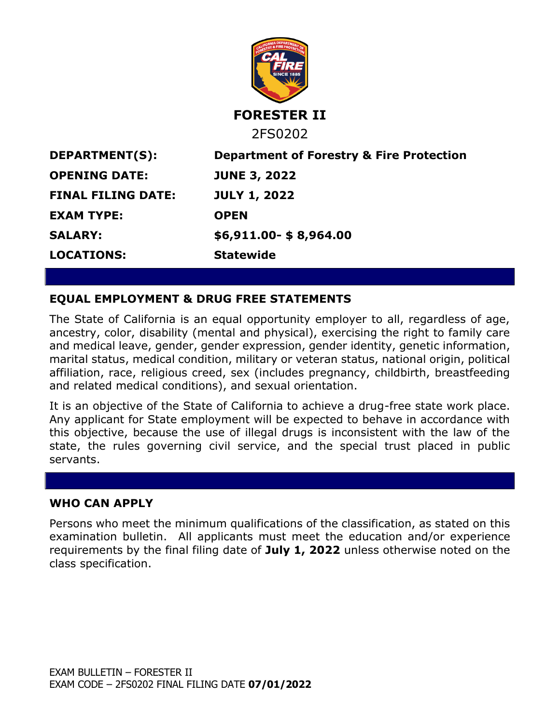

## **EQUAL EMPLOYMENT & DRUG FREE STATEMENTS**

The State of California is an equal opportunity employer to all, regardless of age, ancestry, color, disability (mental and physical), exercising the right to family care and medical leave, gender, gender expression, gender identity, genetic information, marital status, medical condition, military or veteran status, national origin, political affiliation, race, religious creed, sex (includes pregnancy, childbirth, breastfeeding and related medical conditions), and sexual orientation.

It is an objective of the State of California to achieve a drug-free state work place. Any applicant for State employment will be expected to behave in accordance with this objective, because the use of illegal drugs is inconsistent with the law of the state, the rules governing civil service, and the special trust placed in public servants.

#### **WHO CAN APPLY**

Persons who meet the minimum qualifications of the classification, as stated on this examination bulletin. All applicants must meet the education and/or experience requirements by the final filing date of **July 1, 2022** unless otherwise noted on the class specification.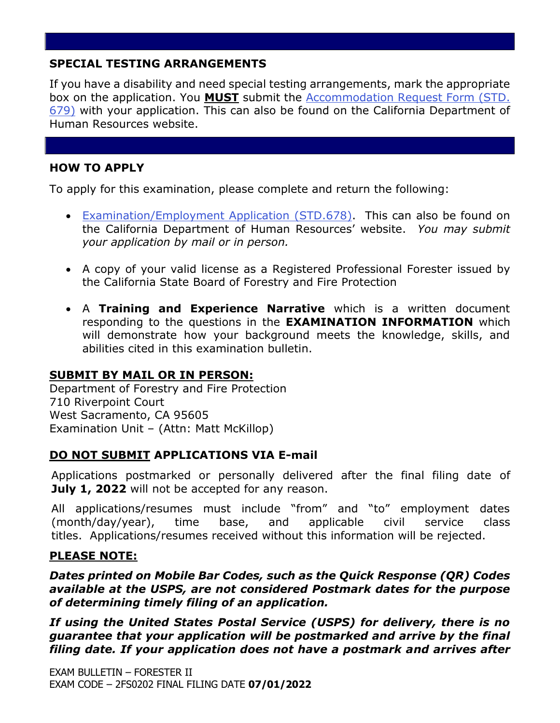# **SPECIAL TESTING ARRANGEMENTS**

If you have a disability and need special testing arrangements, mark the appropriate box on the application. You **MUST** submit the [Accommodation Request Form \(STD.](https://jobs.ca.gov/pdf/STD679.pdf)  [679\)](https://jobs.ca.gov/pdf/STD679.pdf) with your application. This can also be found on the California Department of Human Resources website.

# **HOW TO APPLY**

To apply for this examination, please complete and return the following:

- [Examination/Employment Application \(STD.678\).](https://jobs.ca.gov/pdf/std678.pdf) This can also be found on the California Department of Human Resources' website. *You may submit your application by mail or in person.*
- A copy of your valid license as a Registered Professional Forester issued by the California State Board of Forestry and Fire Protection
- A **Training and Experience Narrative** which is a written document responding to the questions in the **EXAMINATION INFORMATION** which will demonstrate how your background meets the knowledge, skills, and abilities cited in this examination bulletin.

## **SUBMIT BY MAIL OR IN PERSON:**

Department of Forestry and Fire Protection 710 Riverpoint Court West Sacramento, CA 95605 Examination Unit – (Attn: Matt McKillop)

# **DO NOT SUBMIT APPLICATIONS VIA E-mail**

Applications postmarked or personally delivered after the final filing date of July 1, 2022 will not be accepted for any reason.

All applications/resumes must include "from" and "to" employment dates (month/day/year), time base, and applicable civil service class titles. Applications/resumes received without this information will be rejected.

## **PLEASE NOTE:**

*Dates printed on Mobile Bar Codes, such as the Quick Response (QR) Codes available at the USPS, are not considered Postmark dates for the purpose of determining timely filing of an application.*

*If using the United States Postal Service (USPS) for delivery, there is no guarantee that your application will be postmarked and arrive by the final filing date. If your application does not have a postmark and arrives after*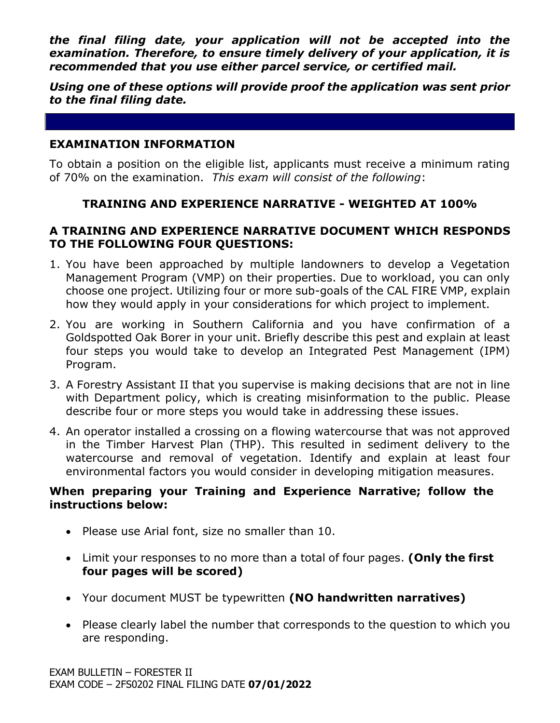*the final filing date, your application will not be accepted into the examination. Therefore, to ensure timely delivery of your application, it is recommended that you use either parcel service, or certified mail.* 

*Using one of these options will provide proof the application was sent prior to the final filing date.*

### **EXAMINATION INFORMATION**

To obtain a position on the eligible list, applicants must receive a minimum rating of 70% on the examination. *This exam will consist of the following*:

## **TRAINING AND EXPERIENCE NARRATIVE - WEIGHTED AT 100%**

### **A TRAINING AND EXPERIENCE NARRATIVE DOCUMENT WHICH RESPONDS TO THE FOLLOWING FOUR QUESTIONS:**

- 1. You have been approached by multiple landowners to develop a Vegetation Management Program (VMP) on their properties. Due to workload, you can only choose one project. Utilizing four or more sub-goals of the CAL FIRE VMP, explain how they would apply in your considerations for which project to implement.
- 2. You are working in Southern California and you have confirmation of a Goldspotted Oak Borer in your unit. Briefly describe this pest and explain at least four steps you would take to develop an Integrated Pest Management (IPM) Program.
- 3. A Forestry Assistant II that you supervise is making decisions that are not in line with Department policy, which is creating misinformation to the public. Please describe four or more steps you would take in addressing these issues.
- 4. An operator installed a crossing on a flowing watercourse that was not approved in the Timber Harvest Plan (THP). This resulted in sediment delivery to the watercourse and removal of vegetation. Identify and explain at least four environmental factors you would consider in developing mitigation measures.

## **When preparing your Training and Experience Narrative; follow the instructions below:**

- Please use Arial font, size no smaller than 10.
- Limit your responses to no more than a total of four pages. **(Only the first four pages will be scored)**
- Your document MUST be typewritten **(NO handwritten narratives)**
- Please clearly label the number that corresponds to the question to which you are responding.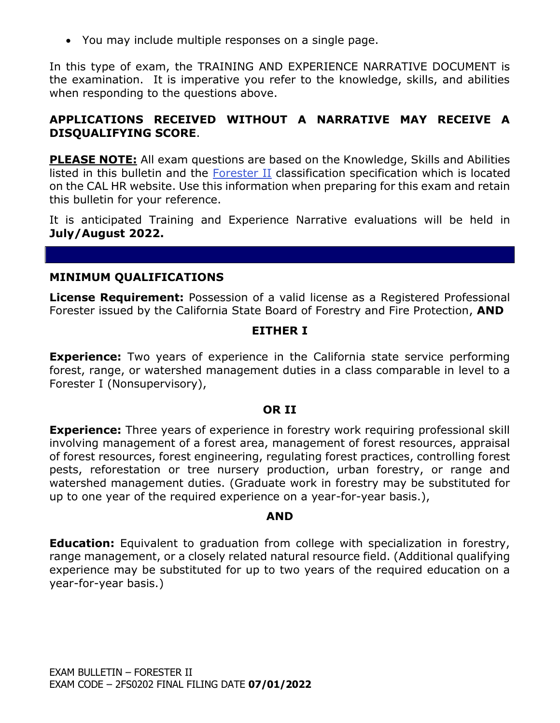• You may include multiple responses on a single page.

In this type of exam, the TRAINING AND EXPERIENCE NARRATIVE DOCUMENT is the examination. It is imperative you refer to the knowledge, skills, and abilities when responding to the questions above.

# **APPLICATIONS RECEIVED WITHOUT A NARRATIVE MAY RECEIVE A DISQUALIFYING SCORE**.

**PLEASE NOTE:** All exam questions are based on the Knowledge, Skills and Abilities listed in this bulletin and the [Forester II](https://www.calhr.ca.gov/state-hr-professionals/pages/1054.aspx) classification specification which is located on the CAL HR website. Use this information when preparing for this exam and retain this bulletin for your reference.

It is anticipated Training and Experience Narrative evaluations will be held in **July/August 2022.**

## **MINIMUM QUALIFICATIONS**

**License Requirement:** Possession of a valid license as a Registered Professional Forester issued by the California State Board of Forestry and Fire Protection, **AND**

## **EITHER I**

**Experience:** Two years of experience in the California state service performing forest, range, or watershed management duties in a class comparable in level to a Forester I (Nonsupervisory),

#### **OR II**

**Experience:** Three years of experience in forestry work requiring professional skill involving management of a forest area, management of forest resources, appraisal of forest resources, forest engineering, regulating forest practices, controlling forest pests, reforestation or tree nursery production, urban forestry, or range and watershed management duties. (Graduate work in forestry may be substituted for up to one year of the required experience on a year-for-year basis.),

## **AND**

**Education:** Equivalent to graduation from college with specialization in forestry, range management, or a closely related natural resource field. (Additional qualifying experience may be substituted for up to two years of the required education on a year-for-year basis.)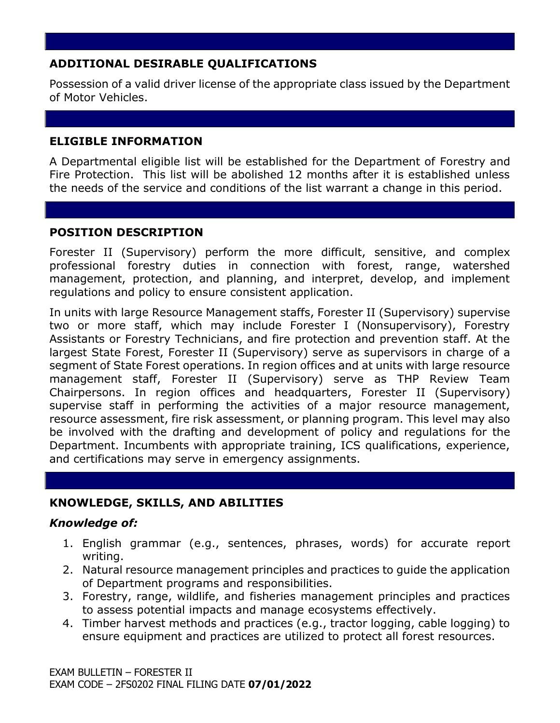# **ADDITIONAL DESIRABLE QUALIFICATIONS**

Possession of a valid driver license of the appropriate class issued by the Department of Motor Vehicles.

## **ELIGIBLE INFORMATION**

A Departmental eligible list will be established for the Department of Forestry and Fire Protection. This list will be abolished 12 months after it is established unless the needs of the service and conditions of the list warrant a change in this period.

# **POSITION DESCRIPTION**

Forester II (Supervisory) perform the more difficult, sensitive, and complex professional forestry duties in connection with forest, range, watershed management, protection, and planning, and interpret, develop, and implement regulations and policy to ensure consistent application.

In units with large Resource Management staffs, Forester II (Supervisory) supervise two or more staff, which may include Forester I (Nonsupervisory), Forestry Assistants or Forestry Technicians, and fire protection and prevention staff. At the largest State Forest, Forester II (Supervisory) serve as supervisors in charge of a segment of State Forest operations. In region offices and at units with large resource management staff, Forester II (Supervisory) serve as THP Review Team Chairpersons. In region offices and headquarters, Forester II (Supervisory) supervise staff in performing the activities of a major resource management, resource assessment, fire risk assessment, or planning program. This level may also be involved with the drafting and development of policy and regulations for the Department. Incumbents with appropriate training, ICS qualifications, experience, and certifications may serve in emergency assignments.

# **KNOWLEDGE, SKILLS, AND ABILITIES**

## *Knowledge of:*

- 1. English grammar (e.g., sentences, phrases, words) for accurate report writing.
- 2. Natural resource management principles and practices to guide the application of Department programs and responsibilities.
- 3. Forestry, range, wildlife, and fisheries management principles and practices to assess potential impacts and manage ecosystems effectively.
- 4. Timber harvest methods and practices (e.g., tractor logging, cable logging) to ensure equipment and practices are utilized to protect all forest resources.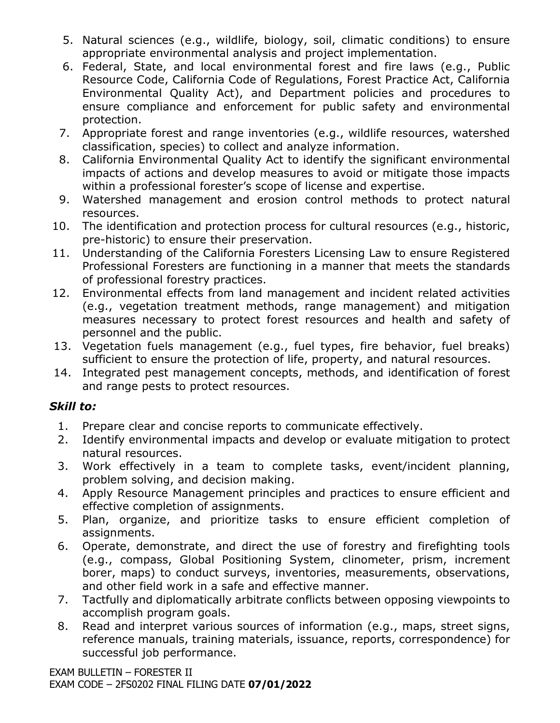- 5. Natural sciences (e.g., wildlife, biology, soil, climatic conditions) to ensure appropriate environmental analysis and project implementation.
- 6. Federal, State, and local environmental forest and fire laws (e.g., Public Resource Code, California Code of Regulations, Forest Practice Act, California Environmental Quality Act), and Department policies and procedures to ensure compliance and enforcement for public safety and environmental protection.
- 7. Appropriate forest and range inventories (e.g., wildlife resources, watershed classification, species) to collect and analyze information.
- 8. California Environmental Quality Act to identify the significant environmental impacts of actions and develop measures to avoid or mitigate those impacts within a professional forester's scope of license and expertise.
- 9. Watershed management and erosion control methods to protect natural resources.
- 10. The identification and protection process for cultural resources (e.g., historic, pre-historic) to ensure their preservation.
- 11. Understanding of the California Foresters Licensing Law to ensure Registered Professional Foresters are functioning in a manner that meets the standards of professional forestry practices.
- 12. Environmental effects from land management and incident related activities (e.g., vegetation treatment methods, range management) and mitigation measures necessary to protect forest resources and health and safety of personnel and the public.
- 13. Vegetation fuels management (e.g., fuel types, fire behavior, fuel breaks) sufficient to ensure the protection of life, property, and natural resources.
- 14. Integrated pest management concepts, methods, and identification of forest and range pests to protect resources.

# *Skill to:*

- 1. Prepare clear and concise reports to communicate effectively.
- 2. Identify environmental impacts and develop or evaluate mitigation to protect natural resources.
- 3. Work effectively in a team to complete tasks, event/incident planning, problem solving, and decision making.
- 4. Apply Resource Management principles and practices to ensure efficient and effective completion of assignments.
- 5. Plan, organize, and prioritize tasks to ensure efficient completion of assignments.
- 6. Operate, demonstrate, and direct the use of forestry and firefighting tools (e.g., compass, Global Positioning System, clinometer, prism, increment borer, maps) to conduct surveys, inventories, measurements, observations, and other field work in a safe and effective manner.
- 7. Tactfully and diplomatically arbitrate conflicts between opposing viewpoints to accomplish program goals.
- 8. Read and interpret various sources of information (e.g., maps, street signs, reference manuals, training materials, issuance, reports, correspondence) for successful job performance.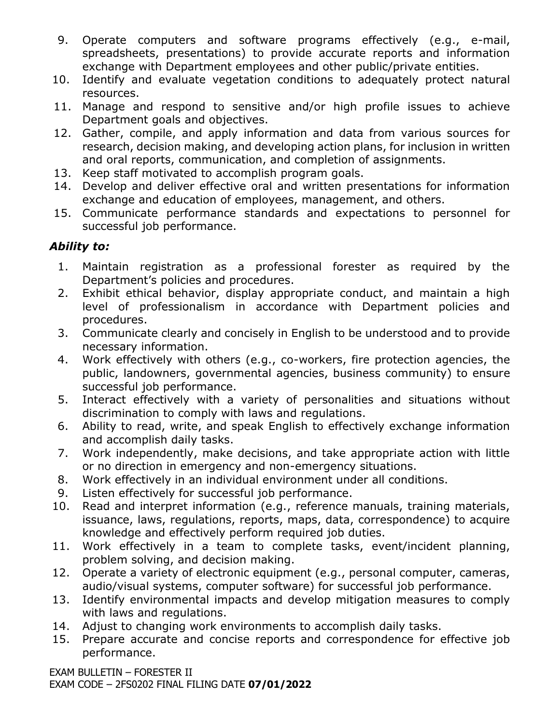- 9. Operate computers and software programs effectively (e.g., e-mail, spreadsheets, presentations) to provide accurate reports and information exchange with Department employees and other public/private entities.
- 10. Identify and evaluate vegetation conditions to adequately protect natural resources.
- 11. Manage and respond to sensitive and/or high profile issues to achieve Department goals and objectives.
- 12. Gather, compile, and apply information and data from various sources for research, decision making, and developing action plans, for inclusion in written and oral reports, communication, and completion of assignments.
- 13. Keep staff motivated to accomplish program goals.
- 14. Develop and deliver effective oral and written presentations for information exchange and education of employees, management, and others.
- 15. Communicate performance standards and expectations to personnel for successful job performance.

# *Ability to:*

- 1. Maintain registration as a professional forester as required by the Department's policies and procedures.
- 2. Exhibit ethical behavior, display appropriate conduct, and maintain a high level of professionalism in accordance with Department policies and procedures.
- 3. Communicate clearly and concisely in English to be understood and to provide necessary information.
- 4. Work effectively with others (e.g., co-workers, fire protection agencies, the public, landowners, governmental agencies, business community) to ensure successful job performance.
- 5. Interact effectively with a variety of personalities and situations without discrimination to comply with laws and regulations.
- 6. Ability to read, write, and speak English to effectively exchange information and accomplish daily tasks.
- 7. Work independently, make decisions, and take appropriate action with little or no direction in emergency and non-emergency situations.
- 8. Work effectively in an individual environment under all conditions.
- 9. Listen effectively for successful job performance.
- 10. Read and interpret information (e.g., reference manuals, training materials, issuance, laws, regulations, reports, maps, data, correspondence) to acquire knowledge and effectively perform required job duties.
- 11. Work effectively in a team to complete tasks, event/incident planning, problem solving, and decision making.
- 12. Operate a variety of electronic equipment (e.g., personal computer, cameras, audio/visual systems, computer software) for successful job performance.
- 13. Identify environmental impacts and develop mitigation measures to comply with laws and regulations.
- 14. Adjust to changing work environments to accomplish daily tasks.
- 15. Prepare accurate and concise reports and correspondence for effective job performance.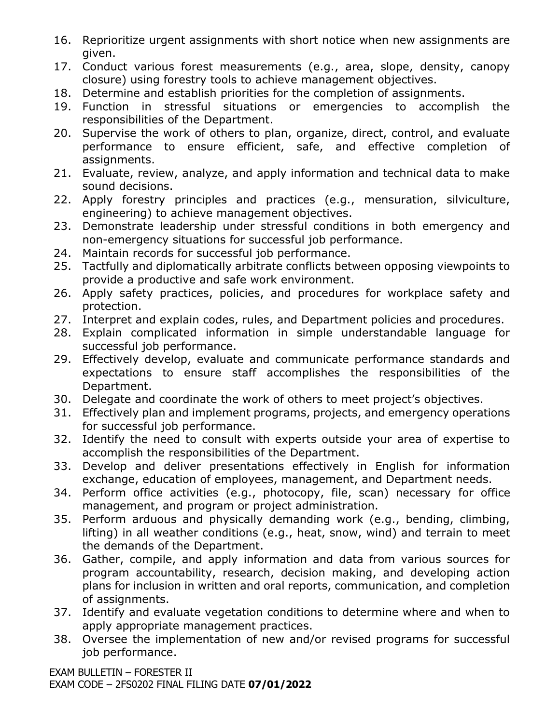- 16. Reprioritize urgent assignments with short notice when new assignments are given.
- 17. Conduct various forest measurements (e.g., area, slope, density, canopy closure) using forestry tools to achieve management objectives.
- 18. Determine and establish priorities for the completion of assignments.
- 19. Function in stressful situations or emergencies to accomplish the responsibilities of the Department.
- 20. Supervise the work of others to plan, organize, direct, control, and evaluate performance to ensure efficient, safe, and effective completion of assignments.
- 21. Evaluate, review, analyze, and apply information and technical data to make sound decisions.
- 22. Apply forestry principles and practices (e.g., mensuration, silviculture, engineering) to achieve management objectives.
- 23. Demonstrate leadership under stressful conditions in both emergency and non-emergency situations for successful job performance.
- 24. Maintain records for successful job performance.
- 25. Tactfully and diplomatically arbitrate conflicts between opposing viewpoints to provide a productive and safe work environment.
- 26. Apply safety practices, policies, and procedures for workplace safety and protection.
- 27. Interpret and explain codes, rules, and Department policies and procedures.
- 28. Explain complicated information in simple understandable language for successful job performance.
- 29. Effectively develop, evaluate and communicate performance standards and expectations to ensure staff accomplishes the responsibilities of the Department.
- 30. Delegate and coordinate the work of others to meet project's objectives.
- 31. Effectively plan and implement programs, projects, and emergency operations for successful job performance.
- 32. Identify the need to consult with experts outside your area of expertise to accomplish the responsibilities of the Department.
- 33. Develop and deliver presentations effectively in English for information exchange, education of employees, management, and Department needs.
- 34. Perform office activities (e.g., photocopy, file, scan) necessary for office management, and program or project administration.
- 35. Perform arduous and physically demanding work (e.g., bending, climbing, lifting) in all weather conditions (e.g., heat, snow, wind) and terrain to meet the demands of the Department.
- 36. Gather, compile, and apply information and data from various sources for program accountability, research, decision making, and developing action plans for inclusion in written and oral reports, communication, and completion of assignments.
- 37. Identify and evaluate vegetation conditions to determine where and when to apply appropriate management practices.
- 38. Oversee the implementation of new and/or revised programs for successful job performance.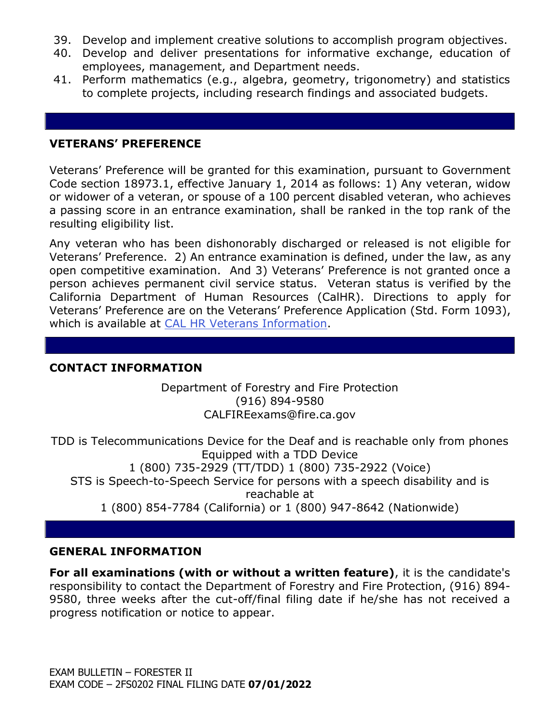- 39. Develop and implement creative solutions to accomplish program objectives.
- 40. Develop and deliver presentations for informative exchange, education of employees, management, and Department needs.
- 41. Perform mathematics (e.g., algebra, geometry, trigonometry) and statistics to complete projects, including research findings and associated budgets.

#### **VETERANS' PREFERENCE**

Veterans' Preference will be granted for this examination, pursuant to Government Code section 18973.1, effective January 1, 2014 as follows: 1) Any veteran, widow or widower of a veteran, or spouse of a 100 percent disabled veteran, who achieves a passing score in an entrance examination, shall be ranked in the top rank of the resulting eligibility list.

Any veteran who has been dishonorably discharged or released is not eligible for Veterans' Preference. 2) An entrance examination is defined, under the law, as any open competitive examination. And 3) Veterans' Preference is not granted once a person achieves permanent civil service status. Veteran status is verified by the California Department of Human Resources (CalHR). Directions to apply for Veterans' Preference are on the Veterans' Preference Application (Std. Form 1093), which is available at [CAL HR Veterans Information.](https://jobs.ca.gov/CalHRPublic/Landing/Jobs/VeteransInformation.aspx)

## **CONTACT INFORMATION**

Department of Forestry and Fire Protection (916) 894-9580 CALFIREexams@fire.ca.gov

TDD is Telecommunications Device for the Deaf and is reachable only from phones Equipped with a TDD Device 1 (800) 735-2929 (TT/TDD) 1 (800) 735-2922 (Voice) STS is Speech-to-Speech Service for persons with a speech disability and is reachable at 1 (800) 854-7784 (California) or 1 (800) 947-8642 (Nationwide)

## **GENERAL INFORMATION**

**For all examinations (with or without a written feature)**, it is the candidate's responsibility to contact the Department of Forestry and Fire Protection, (916) 894- 9580, three weeks after the cut-off/final filing date if he/she has not received a progress notification or notice to appear.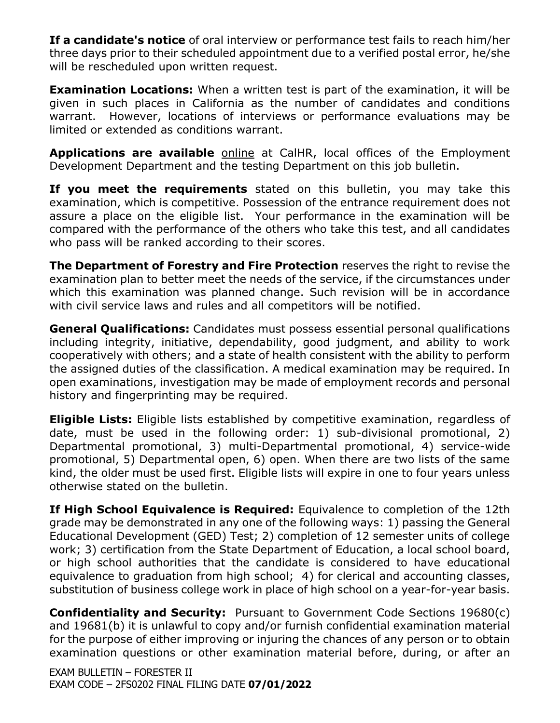**If a candidate's notice** of oral interview or performance test fails to reach him/her three days prior to their scheduled appointment due to a verified postal error, he/she will be rescheduled upon written request.

**Examination Locations:** When a written test is part of the examination, it will be given in such places in California as the number of candidates and conditions warrant. However, locations of interviews or performance evaluations may be limited or extended as conditions warrant.

**Applications are available** [online](https://jobs.ca.gov/pdf/std678.pdf) at CalHR, local offices of the Employment Development Department and the testing Department on this job bulletin.

**If you meet the requirements** stated on this bulletin, you may take this examination, which is competitive. Possession of the entrance requirement does not assure a place on the eligible list. Your performance in the examination will be compared with the performance of the others who take this test, and all candidates who pass will be ranked according to their scores.

**The Department of Forestry and Fire Protection** reserves the right to revise the examination plan to better meet the needs of the service, if the circumstances under which this examination was planned change. Such revision will be in accordance with civil service laws and rules and all competitors will be notified.

**General Qualifications:** Candidates must possess essential personal qualifications including integrity, initiative, dependability, good judgment, and ability to work cooperatively with others; and a state of health consistent with the ability to perform the assigned duties of the classification. A medical examination may be required. In open examinations, investigation may be made of employment records and personal history and fingerprinting may be required.

**Eligible Lists:** Eligible lists established by competitive examination, regardless of date, must be used in the following order: 1) sub-divisional promotional, 2) Departmental promotional, 3) multi-Departmental promotional, 4) service-wide promotional, 5) Departmental open, 6) open. When there are two lists of the same kind, the older must be used first. Eligible lists will expire in one to four years unless otherwise stated on the bulletin.

**If High School Equivalence is Required:** Equivalence to completion of the 12th grade may be demonstrated in any one of the following ways: 1) passing the General Educational Development (GED) Test; 2) completion of 12 semester units of college work; 3) certification from the State Department of Education, a local school board, or high school authorities that the candidate is considered to have educational equivalence to graduation from high school; 4) for clerical and accounting classes, substitution of business college work in place of high school on a year-for-year basis.

**Confidentiality and Security:** Pursuant to Government Code Sections 19680(c) and 19681(b) it is unlawful to copy and/or furnish confidential examination material for the purpose of either improving or injuring the chances of any person or to obtain examination questions or other examination material before, during, or after an